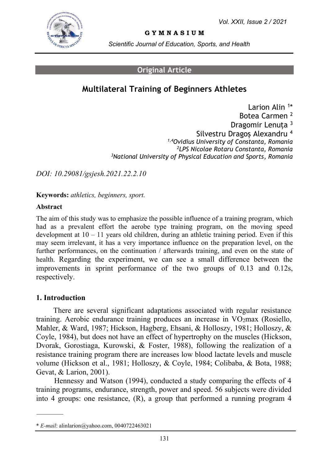

**G Y M N A S I U M**

*Scientific Journal of Education, Sports, and Health*

### **Original Article**

# **Multilateral Training of Beginners Athletes**

Larion Alin<sup>1</sup>\* Botea Carmen <sup>2</sup> Dragomir Lenuța <sup>3</sup> Silvestru Dragos Alexandru<sup>4</sup> *1,4Ovidius University of Constanta, Romania <sup>2</sup>LPS Nicolae Rotaru Constanta, Romania <sup>3</sup>National University of Physical Education and Sports, Romania*

*DOI: 10.29081/gsjesh.2021.22.2.10*

**Keywords:** *athletics, beginners, sport.*

#### **Abstract**

The aim of this study was to emphasize the possible influence of a training program, which had as a prevalent effort the aerobe type training program, on the moving speed development at  $10 - 11$  years old children, during an athletic training period. Even if this may seem irrelevant, it has a very importance influence on the preparation level, on the further performances, on the continuation / afterwards training, and even on the state of health. Regarding the experiment, we can see a small difference between the improvements in sprint performance of the two groups of 0.13 and 0.12s, respectively.

### **1. Introduction**

There are several significant adaptations associated with regular resistance training. Aerobic endurance training produces an increase in VO2max (Rosiello, Mahler, & Ward, 1987; Hickson, Hagberg, Ehsani, & Holloszy, 1981; Holloszy, & Coyle, 1984), but does not have an effect of hypertrophy on the muscles (Hickson, Dvorak, Gorostiaga, Kurowski, & Foster, 1988), following the realization of a resistance training program there are increases low blood lactate levels and muscle volume (Hickson et al., 1981; Holloszy, & Coyle, 1984; Colibaba, & Bota, 1988; Gevat, & Larion, 2001).

Hennessy and Watson (1994), conducted a study comparing the effects of 4 training programs, endurance, strength, power and speed. 56 subjects were divided into 4 groups: one resistance, (R), a group that performed a running program 4

<sup>\*</sup> *E-mail*[: alinlarion@yahoo.com,](mailto:alinlarion@yahoo.com) 0040722463021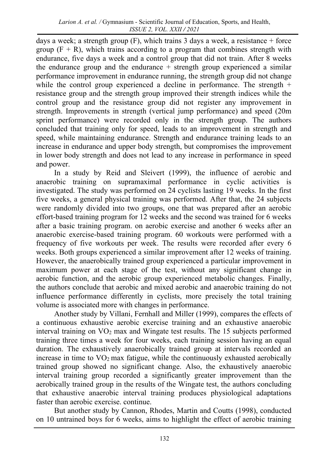days a week; a strength group  $(F)$ , which trains 3 days a week, a resistance + force group  $(F + R)$ , which trains according to a program that combines strength with endurance, five days a week and a control group that did not train. After 8 weeks the endurance group and the endurance  $+$  strength group experienced a similar performance improvement in endurance running, the strength group did not change while the control group experienced a decline in performance. The strength  $+$ resistance group and the strength group improved their strength indices while the control group and the resistance group did not register any improvement in strength. Improvements in strength (vertical jump performance) and speed (20m sprint performance) were recorded only in the strength group. The authors concluded that training only for speed, leads to an improvement in strength and speed, while maintaining endurance. Strength and endurance training leads to an increase in endurance and upper body strength, but compromises the improvement in lower body strength and does not lead to any increase in performance in speed and power.

In a study by Reid and Sleivert (1999), the influence of aerobic and anaerobic training on supramaximal performance in cyclic activities is investigated. The study was performed on 24 cyclists lasting 19 weeks. In the first five weeks, a general physical training was performed. After that, the 24 subjects were randomly divided into two groups, one that was prepared after an aerobic effort-based training program for 12 weeks and the second was trained for 6 weeks after a basic training program. on aerobic exercise and another 6 weeks after an anaerobic exercise-based training program. 60 workouts were performed with a frequency of five workouts per week. The results were recorded after every 6 weeks. Both groups experienced a similar improvement after 12 weeks of training. However, the anaerobically trained group experienced a particular improvement in maximum power at each stage of the test, without any significant change in aerobic function, and the aerobic group experienced metabolic changes. Finally, the authors conclude that aerobic and mixed aerobic and anaerobic training do not influence performance differently in cyclists, more precisely the total training volume is associated more with changes in performance.

Another study by Villani, Fernhall and Miller (1999), compares the effects of a continuous exhaustive aerobic exercise training and an exhaustive anaerobic interval training on VO<sup>2</sup> max and Wingate test results. The 15 subjects performed training three times a week for four weeks, each training session having an equal duration. The exhaustively anaerobically trained group at intervals recorded an increase in time to  $VO<sub>2</sub>$  max fatigue, while the continuously exhausted aerobically trained group showed no significant change. Also, the exhaustively anaerobic interval training group recorded a significantly greater improvement than the aerobically trained group in the results of the Wingate test, the authors concluding that exhaustive anaerobic interval training produces physiological adaptations faster than aerobic exercise. continue.

But another study by Cannon, Rhodes, Martin and Coutts (1998), conducted on 10 untrained boys for 6 weeks, aims to highlight the effect of aerobic training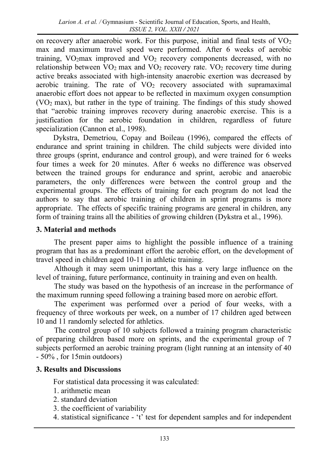on recovery after anaerobic work. For this purpose, initial and final tests of  $VO<sub>2</sub>$ max and maximum travel speed were performed. After 6 weeks of aerobic training,  $VO<sub>2</sub>$  max improved and  $VO<sub>2</sub>$  recovery components decreased, with no relationship between  $VO<sub>2</sub>$  max and  $VO<sub>2</sub>$  recovery rate.  $VO<sub>2</sub>$  recovery time during active breaks associated with high-intensity anaerobic exertion was decreased by aerobic training. The rate of  $VO<sub>2</sub>$  recovery associated with supramaximal anaerobic effort does not appear to be reflected in maximum oxygen consumption (VO<sup>2</sup> max), but rather in the type of training. The findings of this study showed that "aerobic training improves recovery during anaerobic exercise. This is a justification for the aerobic foundation in children, regardless of future specialization (Cannon et al., 1998).

Dykstra, Demetriou, Copay and Boileau (1996), compared the effects of endurance and sprint training in children. The child subjects were divided into three groups (sprint, endurance and control group), and were trained for 6 weeks four times a week for 20 minutes. After 6 weeks no difference was observed between the trained groups for endurance and sprint, aerobic and anaerobic parameters, the only differences were between the control group and the experimental groups. The effects of training for each program do not lead the authors to say that aerobic training of children in sprint programs is more appropriate. The effects of specific training programs are general in children, any form of training trains all the abilities of growing children (Dykstra et al., 1996).

### **3. Material and methods**

The present paper aims to highlight the possible influence of a training program that has as a predominant effort the aerobic effort, on the development of travel speed in children aged 10-11 in athletic training.

Although it may seem unimportant, this has a very large influence on the level of training, future performance, continuity in training and even on health.

The study was based on the hypothesis of an increase in the performance of the maximum running speed following a training based more on aerobic effort.

The experiment was performed over a period of four weeks, with a frequency of three workouts per week, on a number of 17 children aged between 10 and 11 randomly selected for athletics.

The control group of 10 subjects followed a training program characteristic of preparing children based more on sprints, and the experimental group of 7 subjects performed an aerobic training program (light running at an intensity of 40 - 50% , for 15min outdoors)

## **3. Results and Discussions**

For statistical data processing it was calculated:

- 1. arithmetic mean
- 2. standard deviation
- 3. the coefficient of variability
- 4. statistical significance 't' test for dependent samples and for independent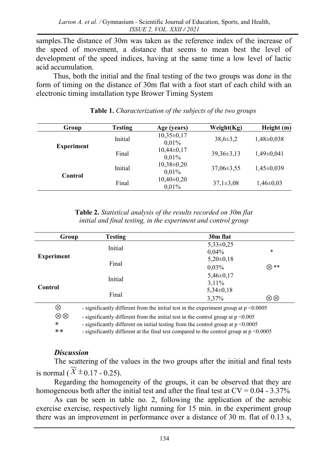samples.The distance of 30m was taken as the reference index of the increase of the speed of movement, a distance that seems to mean best the level of development of the speed indices, having at the same time a low level of lactic acid accumulation.

Thus, both the initial and the final testing of the two groups was done in the form of timing on the distance of 30m flat with a foot start of each child with an electronic timing installation type Brower Timing System

| Group             | <b>Testing</b> | Age (years)             | Weight(Kg)       | Height (m)       |
|-------------------|----------------|-------------------------|------------------|------------------|
| <b>Experiment</b> | Initial        | $10,35\pm0,17$<br>0,01% | $38.6 \pm 3.2$   | $1,48\pm0,038$   |
|                   | Final          | $10,44\pm0,17$<br>0.01% | $39.36 \pm 3.13$ | $1.49 \pm 0.041$ |
| Control           | Initial        | $10,38\pm0,20$<br>0,01% | $37,06 \pm 3,55$ | $1,45\pm0,039$   |
|                   | Final          | $10,40\pm0,20$<br>0,01% | $37,1\pm3,08$    | $1,46\pm0.03$    |

**Table 1.** *Characterization of the subjects of the two groups*

**Table 2.** *Statistical analysis of the results recorded on 30m flat initial and final testing, in the experiment and control group*

| Group             | <b>Testing</b>                                                                            | 30m flat      |                  |
|-------------------|-------------------------------------------------------------------------------------------|---------------|------------------|
| <b>Experiment</b> | Initial                                                                                   | $5,33\pm0,25$ |                  |
|                   |                                                                                           | $0.04\%$      | *                |
|                   | Final                                                                                     | $5,20\pm0,18$ |                  |
|                   |                                                                                           | 0,03%         | ⊗**              |
| Control           | Initial                                                                                   | $5,46\pm0,17$ |                  |
|                   |                                                                                           | $3,11\%$      |                  |
|                   | Final                                                                                     | $5,34\pm0,18$ |                  |
|                   |                                                                                           | 3,37%         | $\otimes\otimes$ |
| ⊗                 | - significantly different from the initial test in the experiment group at $p \le 0.0005$ |               |                  |
| $\otimes\otimes$  | - significantly different from the initial test in the control group at $p \le 0.005$     |               |                  |
| $\ast$            | - significantly different on initial testing from the control group at $p \le 0.0005$     |               |                  |

 $* *$ - significantly different at the final test compared to the control group at p <0.0005

### *Discussion*

The scattering of the values in the two groups after the initial and final tests is normal ( $X \pm 0.17 - 0.25$ ).

Regarding the homogeneity of the groups, it can be observed that they are homogeneous both after the initial test and after the final test at  $CV = 0.04 - 3.37\%$ 

As can be seen in table no. 2, following the application of the aerobic exercise exercise, respectively light running for 15 min. in the experiment group there was an improvement in performance over a distance of 30 m. flat of 0.13 s,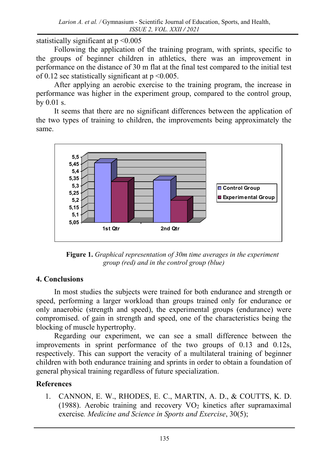statistically significant at p <0.005

Following the application of the training program, with sprints, specific to the groups of beginner children in athletics, there was an improvement in performance on the distance of 30 m flat at the final test compared to the initial test of 0.12 sec statistically significant at  $p \le 0.005$ .

After applying an aerobic exercise to the training program, the increase in performance was higher in the experiment group, compared to the control group, by 0.01 s.

It seems that there are no significant differences between the application of the two types of training to children, the improvements being approximately the same.



**Figure 1.** *Graphical representation of 30m time averages in the experiment group (red) and in the control group (blue)*

## **4. Conclusions**

In most studies the subjects were trained for both endurance and strength or speed, performing a larger workload than groups trained only for endurance or only anaerobic (strength and speed), the experimental groups (endurance) were compromised. of gain in strength and speed, one of the characteristics being the blocking of muscle hypertrophy.

Regarding our experiment, we can see a small difference between the improvements in sprint performance of the two groups of 0.13 and 0.12s, respectively. This can support the veracity of a multilateral training of beginner children with both endurance training and sprints in order to obtain a foundation of general physical training regardless of future specialization.

# **References**

1. CANNON, E. W., RHODES, E. C., MARTIN, A. D., & COUTTS, K. D. (1988). Aerobic training and recovery  $VO<sub>2</sub>$  kinetics after supramaximal exercise*. Medicine and Science in Sports and Exercise*, 30(5);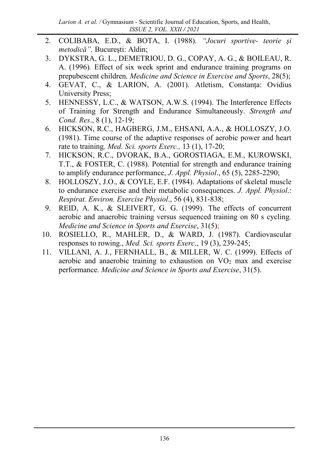- 2. COLIBABA, E.D., & BOTA, I. (1988). *"Jocuri sportive- teorie şi metodică",* Bucureşti: Aldin;
- 3. DYKSTRA, G. L., DEMETRIOU, D. G., COPAY, A. G., & BOILEAU, R. A. (1996)*.* Effect of six week sprint and endurance training programs on prepubescent children*, Medicine and Science in Exercise and Sports*, 28(5);
- 4. GEVAT, C., & LARION, A. (2001). Atletism, Constanţa: Ovidius University Press;
- 5. HENNESSY, L.C., & WATSON, A.W.S. (1994). The Interference Effects of Training for Strength and Endurance Simultaneously. *Strength and Cond. Res*., 8 (1), 12-19;
- 6. HICKSON, R.C., HAGBERG, J.M., EHSANI, A.A., & HOLLOSZY, J.O. (1981). Time course of the adaptive responses of aerobic power and heart rate to training*, Med. Sci. sports Exerc.,* 13 (1), 17-20;
- 7. HICKSON, R.C., DVORAK, B.A., GOROSTIAGA, E.M., KUROWSKI, T.T., & FOSTER, C. (1988). Potential for strength and endurance training to amplify endurance performance, *J. Appl. Physiol*., 65 (5), 2285-2290;
- 8. HOLLOSZY, J.O., & COYLE, E.F. (1984). Adaptations of skeletal muscle to endurance exercise and their metabolic consequences. *J. Appl. Physiol*.: *Respirat. Environ. Exercise Physiol*., 56 (4), 831-838;
- 9. REID, A. K., & SLEIVERT, G. G. (1999). The effects of concurrent aerobic and anaerobic training versus sequenced training on 80 s cycling*. Medicine and Science in Sports and Exercise*, 31(5);
- 10. ROSIELLO, R., MAHLER, D., & WARD, J. (1987). Cardiovascular responses to rowing., *Med. Sci. sports Exerc*., 19 (3), 239-245;
- 11. VILLANI, A. J., FERNHALL, B., & MILLER, W. C. (1999). Effects of aerobic and anaerobic training to exhaustion on  $VO<sub>2</sub>$  max and exercise performance. *Medicine and Science in Sports and Exercise*, 31(5).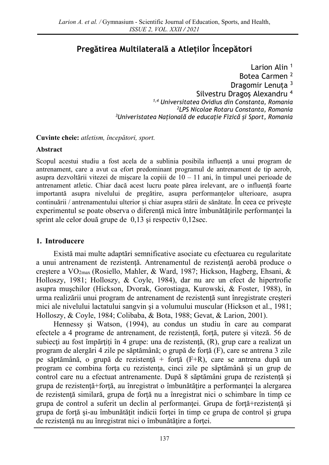# **Pregătirea Multilaterală a Atleților Începători**

Larion Alin<sup>1</sup> Botea Carmen <sup>2</sup> Dragomir Lenuța <sup>3</sup> Silvestru Dragoș Alexandru <sup>4</sup> *1,4 Universitatea Ovidius din Constanta, Romania <sup>2</sup>LPS Nicolae Rotaru Constanta, Romania <sup>3</sup>Univeristatea Națională de educație Fizică și Sport, Romania*

**Cuvinte cheie:** *atletism, începători, sport.*

### **Abstract**

Scopul acestui studiu a fost acela de a sublinia posibila influență a unui program de antrenament, care a avut ca efort predominant programul de antrenament de tip aerob, asupra dezvoltării vitezei de mișcare la copiii de  $10 - 11$  ani, în timpul unei perioade de antrenament atletic. Chiar dacă acest lucru poate părea irelevant, are o influență foarte importantă asupra nivelului de pregătire, asupra performanțelor ulterioare, asupra continuării / antrenamentului ulterior și chiar asupra stării de sănătate. În ceea ce priveşte experimentul se poate observa o diferenţă mică între îmbunătăţirile performanţei la sprint ale celor două grupe de 0,13 şi respectiv 0,12sec.

### **1. Introducere**

Există mai multe adaptări semnificative asociate cu efectuarea cu regularitate a unui antrenament de rezistenţă. Antrenamentul de rezistenţă aerobă produce o creştere a VO2max (Rosiello, Mahler, & Ward, 1987; Hickson, Hagberg, Ehsani, & Holloszy, 1981; Holloszy, & Coyle, 1984), dar nu are un efect de hipertrofie asupra muşchilor (Hickson, Dvorak, Gorostiaga, Kurowski, & Foster, 1988), în urma realizării unui program de antrenament de rezistenţă sunt înregistrate creşteri mici ale nivelului lactatului sangvin şi a volumului muscular (Hickson et al., 1981; Holloszy, & Coyle, 1984; Colibaba, & Bota, 1988; Gevat, & Larion, 2001).

Hennessy şi Watson, (1994), au condus un studiu în care au comparat efectele a 4 programe de antrenament, de rezistenţă, forţă, putere şi viteză. 56 de subiecți au fost împărțiți în 4 grupe: una de rezistență, (R), grup care a realizat un program de alergări 4 zile pe săptămână; o grupă de forţă (F), care se antrena 3 zile pe săptămână, o grupă de rezistenţă + forţă (F+R), care se antrena după un program ce combina forţa cu rezistenţa, cinci zile pe săptămână şi un grup de control care nu a efectuat antrenamente. După 8 săptămâni grupa de rezistenţă şi grupa de rezistenţă+forţă, au înregistrat o îmbunătăţire a performanţei la alergarea de rezistenţă similară, grupa de forţă nu a înregistrat nici o schimbare în timp ce grupa de control a suferit un declin al performanței. Grupa de forță+rezistență și grupa de forţă şi-au îmbunătăţit indicii forţei în timp ce grupa de control şi grupa de rezistenţă nu au înregistrat nici o îmbunătăţire a forţei.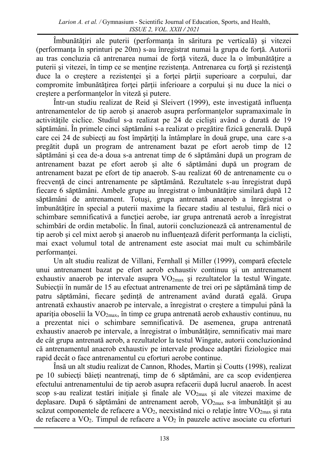Îmbunătăţiri ale puterii (performanţa în săritura pe verticală) şi vitezei (performanţa în sprinturi pe 20m) s-au înregistrat numai la grupa de forţă. Autorii au tras concluzia că antrenarea numai de forţă viteză, duce la o îmbunătăţire a puterii şi vitezei, în timp ce se menţine rezistenţa. Antrenarea cu forţă şi rezistenţă duce la o creștere a rezistenței și a forței părții superioare a corpului, dar compromite îmbunătățirea forței părții inferioare a corpului și nu duce la nici o creştere a performanţelor în viteză şi putere.

Într-un studiu realizat de Reid și Sleivert (1999), este investigată influenţa antrenamentelor de tip aerob şi anaerob asupra performanţelor supramaximale în activităţile ciclice. Studiul s-a realizat pe 24 de ciclişti având o durată de 19 săptămâni. În primele cinci săptămâni s-a realizat o pregătire fizică generală. După care cei 24 de subiecţi au fost împărţiţi la întâmplare în două grupe, una care s-a pregătit după un program de antrenament bazat pe efort aerob timp de 12 săptămâni şi cea de-a doua s-a antrenat timp de 6 săptămâni după un program de antrenament bazat pe efort aerob şi alte 6 săptămâni după un program de antrenament bazat pe efort de tip anaerob. S-au realizat 60 de antrenamente cu o frecvenţă de cinci antrenamente pe săptămână. Rezultatele s-au înregistrat după fiecare 6 săptămâni. Ambele grupe au înregistrat o îmbunătăţire similară după 12 săptămâni de antrenament. Totuşi, grupa antrenată anaerob a înregistrat o îmbunătăţire în special a puterii maxime la fiecare stadiu al testului, fără nici o schimbare semnificativă a funcției aerobe, iar grupa antrenată aerob a înregistrat schimbări de ordin metabolic. În final, autorii concluzionează că antrenamentul de tip aerob și cel mixt aerob și anaerob nu influențează diferit performanța la cicliști, mai exact volumul total de antrenament este asociat mai mult cu schimbările performanței.

Un alt studiu realizat de Villani, Fernhall și Miller (1999), compară efectele unui antrenament bazat pe efort aerob exhaustiv continuu şi un antrenament exhaustiv anaerob pe intervale asupra VO2max şi rezultatelor la testul Wingate. Subiecţii în număr de 15 au efectuat antrenamente de trei ori pe săptămână timp de patru săptămâni, fiecare şedinţă de antrenament având durată egală. Grupa antrenată exhaustiv anaerob pe intervale, a înregistrat o creştere a timpului până la apariţia oboselii la VO2max, în timp ce grupa antrenată aerob exhaustiv continuu, nu a prezentat nici o schimbare semnificativă. De asemenea, grupa antrenată exhaustiv anaerob pe intervale, a înregistrat o îmbunătăţire, semnificativ mai mare de cât grupa antrenată aerob, a rezultatelor la testul Wingate, autorii concluzionând că antrenamentul anaerob exhaustiv pe intervale produce adaptări fiziologice mai rapid decât o face antrenamentul cu eforturi aerobe continue.

Însă un alt studiu realizat de Cannon, Rhodes, Martin și Coutts (1998), realizat pe 10 subiecţi băieţi neantrenaţi, timp de 6 săptămâni, are ca scop evidenţierea efectului antrenamentului de tip aerob asupra refacerii după lucrul anaerob. În acest scop s-au realizat testări inițiale și finale ale  $VO_{2max}$  și ale vitezei maxime de deplasare. După 6 săptămâni de antrenament aerob, VO<sub>2max</sub> s-a îmbunătățit și au scăzut componentele de refacere a  $VO<sub>2</sub>$ , neexistând nici o relație între  $VO<sub>2max</sub>$ </sub> și rata de refacere a VO2. Timpul de refacere a VO<sup>2</sup> în pauzele active asociate cu eforturi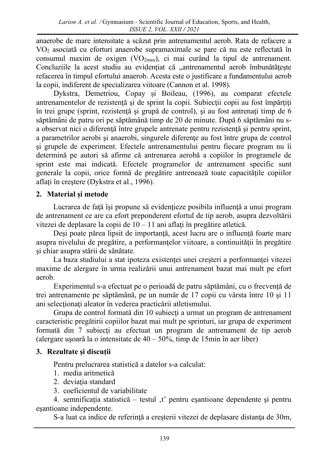anaerobe de mare intensitate a scăzut prin antrenamentul aerob. Rata de refacere a VO<sup>2</sup> asociată cu eforturi anaerobe supramaximale se pare că nu este reflectată în consumul maxim de oxigen  $(VO_{2max})$ , ci mai curând la tipul de antrenament. Concluziile la acest studiu au evidențiat că "antrenamentul aerob îmbunătățește refacerea în timpul efortului anaerob. Acesta este o justificare a fundamentului aerob la copii, indiferent de specializarea viitoare (Cannon et al. 1998).

Dykstra, Demetriou, Copay și Boileau, (1996), au comparat efectele antrenamentelor de rezistenţă şi de sprint la copii. Subiecţii copii au fost împărţiţi în trei grupe (sprint, rezistenţă şi grupă de control), şi au fost antrenaţi timp de 6 săptămâni de patru ori pe săptămână timp de 20 de minute. După 6 săptămâni nu sa observat nici o diferenţă între grupele antrenate pentru rezistenţă şi pentru sprint, a parametrilor aerobi şi anaerobi, singurele diferenţe au fost între grupa de control şi grupele de experiment. Efectele antrenamentului pentru fiecare program nu îi determină pe autori să afirme că antrenarea aerobă a copiilor în programele de sprint este mai indicată. Efectele programelor de antrenament specific sunt generale la copii, orice formă de pregătire antrenează toate capacităţile copiilor aflaţi în creştere (Dykstra et al., 1996).

## **2. Material și metode**

Lucrarea de faţă îşi propune să evidenţieze posibila influenţă a unui program de antrenament ce are ca efort preponderent efortul de tip aerob, asupra dezvoltării vitezei de deplasare la copii de 10 – 11 ani aflați în pregătire atletică.

Deşi poate părea lipsit de importanţă, acest lucru are o influenţă foarte mare asupra nivelului de pregătire, a performanţelor viitoare, a continuităţii în pregătire şi chiar asupra stării de sănătate.

La baza studiului a stat ipoteza existenței unei creșteri a performanței vitezei maxime de alergare în urma realizării unui antrenament bazat mai mult pe efort aerob.

Experimentul s-a efectuat pe o perioadă de patru săptămâni, cu o frecvenţă de trei antrenamente pe săptămână, pe un număr de 17 copii cu vârsta între 10 şi 11 ani selecţionaţi aleator în vederea practicării atletismului.

Grupa de control formată din 10 subiecţi a urmat un program de antrenament caracteristic pregătirii copiilor bazat mai mult pe sprinturi, iar grupa de experiment formată din 7 subiecţi au efectuat un program de antrenament de tip aerob (alergare ușoară la o intensitate de  $40 - 50\%$ , timp de 15min în aer liber)

## **3. Rezultate și discuții**

Pentru prelucrarea statistică a datelor s-a calculat:

- 1. media aritmetică
- 2. deviatia standard
- 3. coeficientul de variabilitate

4. semnificația statistică – testul ,t' pentru eșantioane dependente și pentru eşantioane independente.

S-a luat ca indice de referință a creșterii vitezei de deplasare distanța de 30m,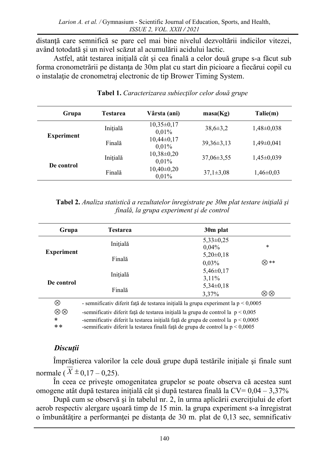distanţă care semnifică se pare cel mai bine nivelul dezvoltării indicilor vitezei, având totodată şi un nivel scăzut al acumulării acidului lactic.

Astfel, atât testarea iniţială cât şi cea finală a celor două grupe s-a făcut sub forma cronometrării pe distanţa de 30m plat cu start din picioare a fiecărui copil cu o instalaţie de cronometraj electronic de tip Brower Timing System.

| Grupa             | Testarea | Vârsta (ani)              | masa(Kg)         | Talie(m)       |
|-------------------|----------|---------------------------|------------------|----------------|
| <b>Experiment</b> | Inițială | $10,35\pm0,17$<br>0.01%   | $38,6 \pm 3,2$   | $1,48\pm0,038$ |
|                   | Finală   | $10,44\pm0,17$<br>0.01%   | $39.36 \pm 3.13$ | $1,49\pm0,041$ |
| De control        | Inițială | $10,38 \pm 0,20$<br>0.01% | $37.06 \pm 3.55$ | $1,45\pm0,039$ |
|                   | Finală   | $10,40\pm0,20$<br>0.01%   | $37,1\pm3.08$    | $1,46\pm0.03$  |

### **Tabel 1.** *Caracterizarea subiecţilor celor două grupe*

| <b>Tabel 2.</b> Analiza statistică a rezultatelor înregistrate pe 30m plat testare inițială și |  |
|------------------------------------------------------------------------------------------------|--|
| finală, la grupa experiment și de control                                                      |  |

| Grupa             | <b>Testarea</b>                                                                      | 30m plat               |        |
|-------------------|--------------------------------------------------------------------------------------|------------------------|--------|
| <b>Experiment</b> | Inițială                                                                             | $5,33\pm0,25$<br>0,04% | $\ast$ |
|                   | Finală                                                                               | $5,20\pm0,18$          |        |
|                   |                                                                                      | 0,03%                  | ⊗ **   |
| De control        | Inițială                                                                             | $5,46\pm0,17$          |        |
|                   |                                                                                      | $3,11\%$               |        |
|                   | Finală                                                                               | $5,34\pm0,18$          |        |
|                   |                                                                                      | 3,37%                  | ⊗⊗     |
| ⊗                 | - semnificativ diferit față de testarea inițială la grupa experiment la $p < 0,0005$ |                        |        |

 $\otimes$   $\otimes$  -semnificativ diferit față de testarea inițială la grupa de control la p < 0,005

∗ -semnificativ diferit la testarea inițială față de grupa de control la  $p < 0.0005$ 

 $* *$ -semnificativ diferit la testarea finală faţă de grupa de control la p < 0,0005

# *Discuţii*

Împrăştierea valorilor la cele două grupe după testările iniţiale şi finale sunt normale ( $X \pm 0,17 - 0,25$ ).

În ceea ce priveşte omogenitatea grupelor se poate observa că acestea sunt omogene atât după testarea iniţială cât şi după testarea finală la CV= 0,04 – 3,37%

După cum se observă şi în tabelul nr. 2, în urma aplicării exerciţiului de efort aerob respectiv alergare uşoară timp de 15 min. la grupa experiment s-a înregistrat o îmbunătăţire a performanţei pe distanţa de 30 m. plat de 0,13 sec, semnificativ